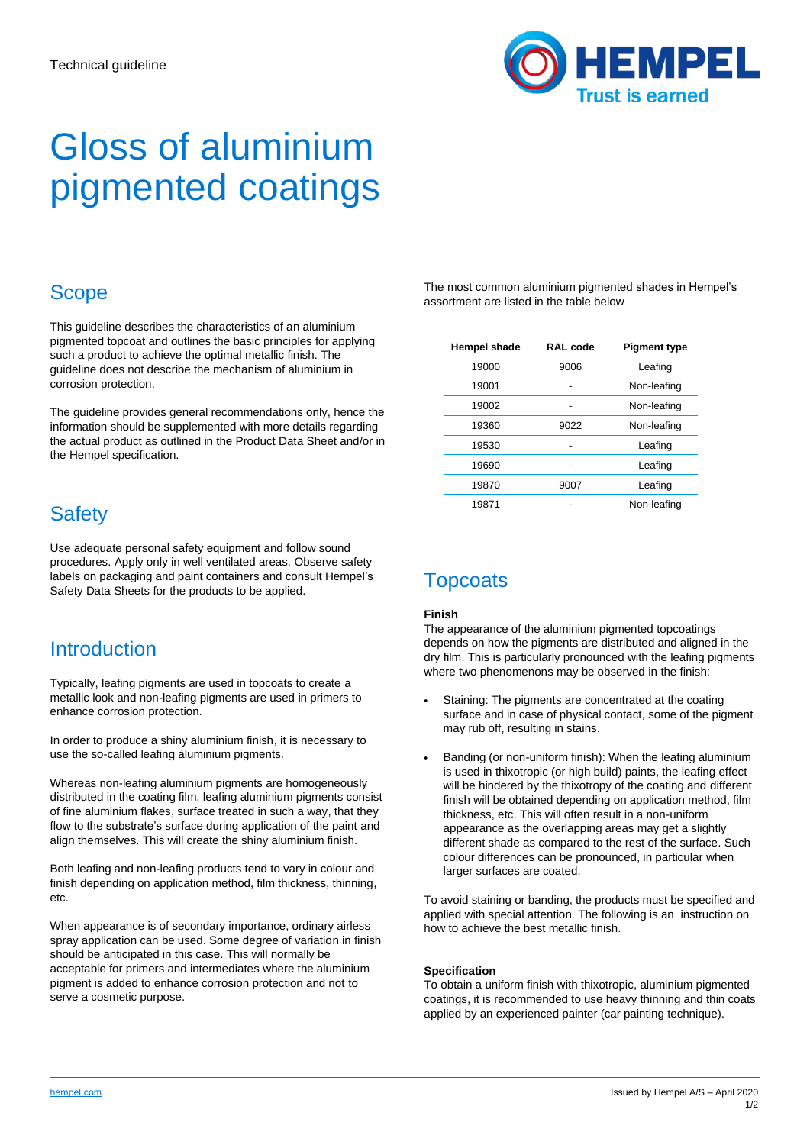

# Gloss of aluminium pigmented coatings

### **Scope**

This guideline describes the characteristics of an aluminium pigmented topcoat and outlines the basic principles for applying such a product to achieve the optimal metallic finish. The guideline does not describe the mechanism of aluminium in corrosion protection.

The guideline provides general recommendations only, hence the information should be supplemented with more details regarding the actual product as outlined in the Product Data Sheet and/or in the Hempel specification.

## **Safety**

Use adequate personal safety equipment and follow sound procedures. Apply only in well ventilated areas. Observe safety labels on packaging and paint containers and consult Hempel's Safety Data Sheets for the products to be applied.

### **Introduction**

Typically, leafing pigments are used in topcoats to create a metallic look and non-leafing pigments are used in primers to enhance corrosion protection.

In order to produce a shiny aluminium finish, it is necessary to use the so-called leafing aluminium pigments.

Whereas non-leafing aluminium pigments are homogeneously distributed in the coating film, leafing aluminium pigments consist of fine aluminium flakes, surface treated in such a way, that they flow to the substrate's surface during application of the paint and align themselves. This will create the shiny aluminium finish.

Both leafing and non-leafing products tend to vary in colour and finish depending on application method, film thickness, thinning, etc.

When appearance is of secondary importance, ordinary airless spray application can be used. Some degree of variation in finish should be anticipated in this case. This will normally be acceptable for primers and intermediates where the aluminium pigment is added to enhance corrosion protection and not to serve a cosmetic purpose.

The most common aluminium pigmented shades in Hempel's assortment are listed in the table below

| Hempel shade | <b>RAL</b> code | <b>Pigment type</b> |
|--------------|-----------------|---------------------|
| 19000        | 9006            | Leafing             |
| 19001        |                 | Non-leafing         |
| 19002        |                 | Non-leafing         |
| 19360        | 9022            | Non-leafing         |
| 19530        |                 | Leafing             |
| 19690        |                 | Leafing             |
| 19870        | 9007            | Leafing             |
| 19871        |                 | Non-leafing         |

### **Topcoats**

#### **Finish**

The appearance of the aluminium pigmented topcoatings depends on how the pigments are distributed and aligned in the dry film. This is particularly pronounced with the leafing pigments where two phenomenons may be observed in the finish:

- Staining: The pigments are concentrated at the coating surface and in case of physical contact, some of the pigment may rub off, resulting in stains.
- Banding (or non-uniform finish): When the leafing aluminium is used in thixotropic (or high build) paints, the leafing effect will be hindered by the thixotropy of the coating and different finish will be obtained depending on application method, film thickness, etc. This will often result in a non-uniform appearance as the overlapping areas may get a slightly different shade as compared to the rest of the surface. Such colour differences can be pronounced, in particular when larger surfaces are coated.

To avoid staining or banding, the products must be specified and applied with special attention. The following is an instruction on how to achieve the best metallic finish.

#### **Specification**

To obtain a uniform finish with thixotropic, aluminium pigmented coatings, it is recommended to use heavy thinning and thin coats applied by an experienced painter (car painting technique).